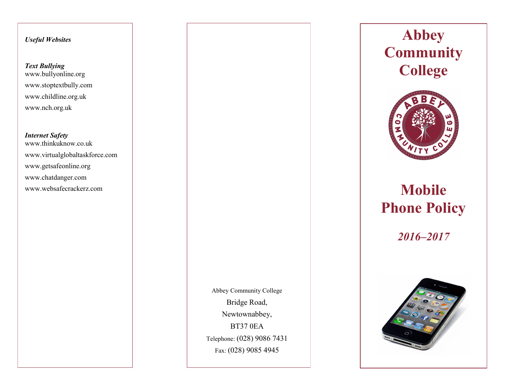# *Useful Websites*

# *Text Bullying* www.bullyonline.org www.stoptextbully.com www.childline.org.uk www.nch.org.uk

## *Internet Safety*

www.thinkuknow.co.uk www.virtualglobaltaskforce.com www.getsafeonline.org www.chatdanger.com www.websafecrackerz.com

> Abbey Community College Bridge Road, Newtownabbey, BT37 0EA Telephone: (028) 9086 7431 Fax: (028) 9085 4945

**Abbey Community College**



# **Mobile Phone Policy**

*2016–2017*